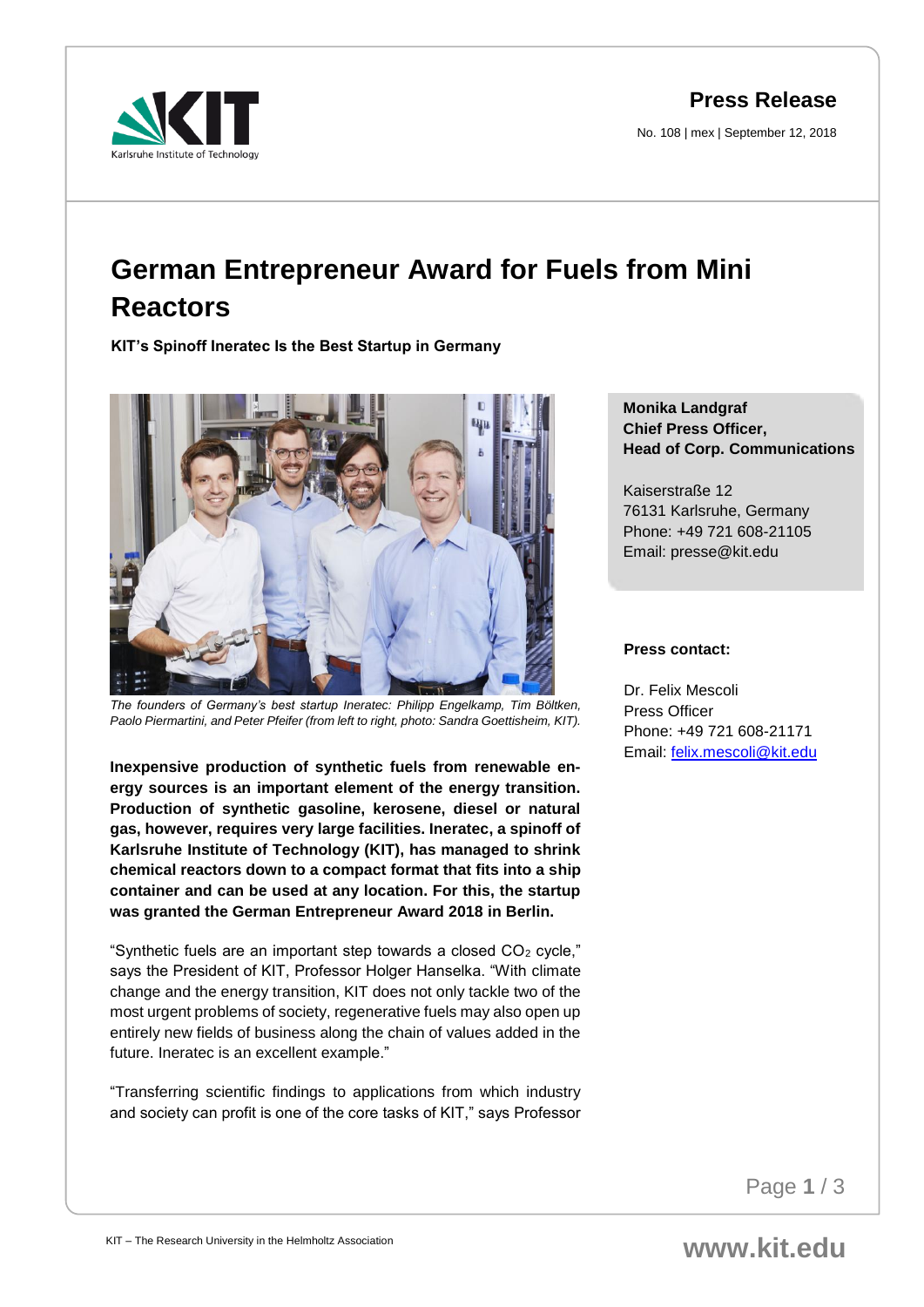**Press Release**

No. 108 | mex | September 12, 2018



## **German Entrepreneur Award for Fuels from Mini Reactors**

**KIT's Spinoff Ineratec Is the Best Startup in Germany**



*The founders of Germany's best startup Ineratec: Philipp Engelkamp, Tim Böltken, Paolo Piermartini, and Peter Pfeifer (from left to right, photo: Sandra Goettisheim, KIT).*

**Inexpensive production of synthetic fuels from renewable energy sources is an important element of the energy transition. Production of synthetic gasoline, kerosene, diesel or natural gas, however, requires very large facilities. Ineratec, a spinoff of Karlsruhe Institute of Technology (KIT), has managed to shrink chemical reactors down to a compact format that fits into a ship container and can be used at any location. For this, the startup was granted the German Entrepreneur Award 2018 in Berlin.**

"Synthetic fuels are an important step towards a closed  $CO<sub>2</sub>$  cycle," says the President of KIT, Professor Holger Hanselka. "With climate change and the energy transition, KIT does not only tackle two of the most urgent problems of society, regenerative fuels may also open up entirely new fields of business along the chain of values added in the future. Ineratec is an excellent example."

"Transferring scientific findings to applications from which industry and society can profit is one of the core tasks of KIT," says Professor

## **Monika Landgraf Chief Press Officer, Head of Corp. Communications**

Kaiserstraße 12 76131 Karlsruhe, Germany Phone: +49 721 608-21105 Email: presse@kit.edu

## **Press contact:**

Dr. Felix Mescoli Press Officer Phone: +49 721 608-21171 Email: [felix.mescoli@kit.edu](mailto:felix.mescoli@kit.edu)

Page **1** / 3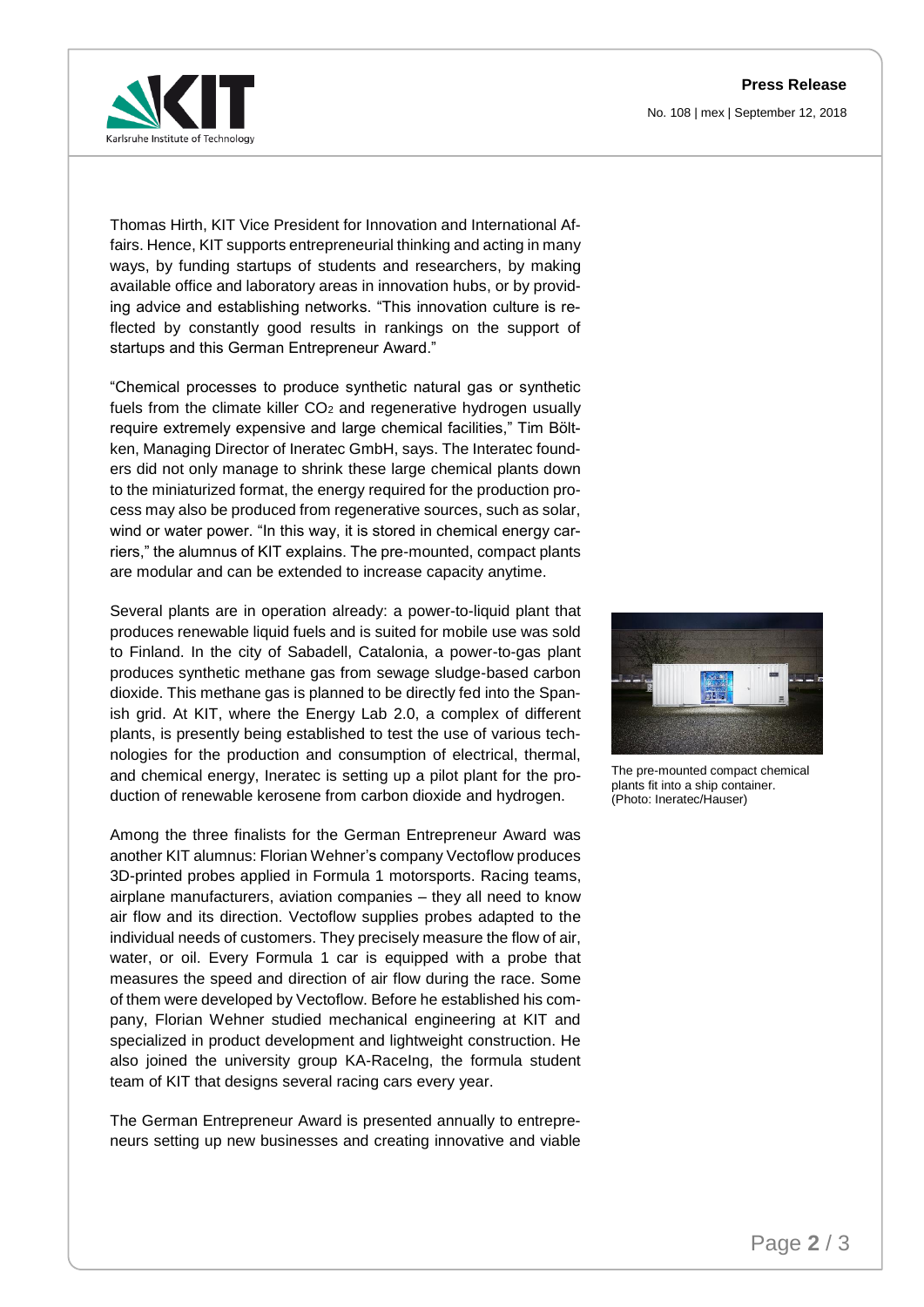**Press Release** No. 108 | mex | September 12, 2018



Thomas Hirth, KIT Vice President for Innovation and International Affairs. Hence, KIT supports entrepreneurial thinking and acting in many ways, by funding startups of students and researchers, by making available office and laboratory areas in innovation hubs, or by providing advice and establishing networks. "This innovation culture is reflected by constantly good results in rankings on the support of startups and this German Entrepreneur Award."

"Chemical processes to produce synthetic natural gas or synthetic fuels from the climate killer  $CO<sub>2</sub>$  and regenerative hydrogen usually require extremely expensive and large chemical facilities," Tim Böltken, Managing Director of Ineratec GmbH, says. The Interatec founders did not only manage to shrink these large chemical plants down to the miniaturized format, the energy required for the production process may also be produced from regenerative sources, such as solar, wind or water power. "In this way, it is stored in chemical energy carriers," the alumnus of KIT explains. The pre-mounted, compact plants are modular and can be extended to increase capacity anytime.

Several plants are in operation already: a power-to-liquid plant that produces renewable liquid fuels and is suited for mobile use was sold to Finland. In the city of Sabadell, Catalonia, a power-to-gas plant produces synthetic methane gas from sewage sludge-based carbon dioxide. This methane gas is planned to be directly fed into the Spanish grid. At KIT, where the Energy Lab 2.0, a complex of different plants, is presently being established to test the use of various technologies for the production and consumption of electrical, thermal, and chemical energy, Ineratec is setting up a pilot plant for the production of renewable kerosene from carbon dioxide and hydrogen.

Among the three finalists for the German Entrepreneur Award was another KIT alumnus: Florian Wehner's company Vectoflow produces 3D-printed probes applied in Formula 1 motorsports. Racing teams, airplane manufacturers, aviation companies – they all need to know air flow and its direction. Vectoflow supplies probes adapted to the individual needs of customers. They precisely measure the flow of air, water, or oil. Every Formula 1 car is equipped with a probe that measures the speed and direction of air flow during the race. Some of them were developed by Vectoflow. Before he established his company, Florian Wehner studied mechanical engineering at KIT and specialized in product development and lightweight construction. He also joined the university group KA-RaceIng, the formula student team of KIT that designs several racing cars every year.

The German Entrepreneur Award is presented annually to entrepreneurs setting up new businesses and creating innovative and viable



The pre-mounted compact chemical plants fit into a ship container. (Photo: Ineratec/Hauser)